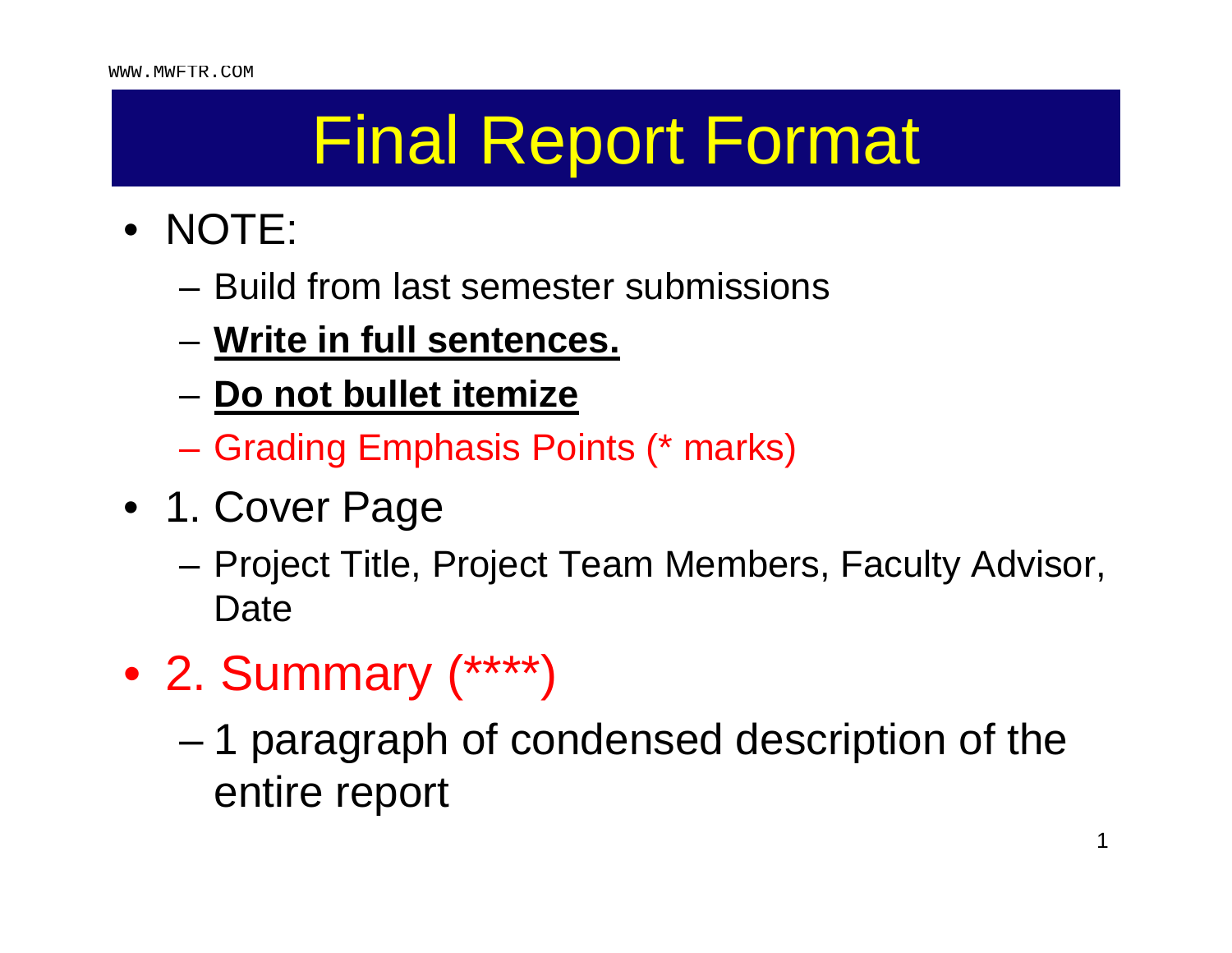- NOTE:
	- Build from last semester submissions
	- **Write in full sentences.**
	- **Do not bullet itemize**
	- Grading Emphasis Points (\* marks)
- 1. Cover Page
	- – Project Title, Project Team Members, Faculty Advisor, Date
- 2. Summary (\*\*\*\*)
	- – 1 paragraph of condensed description of the entire report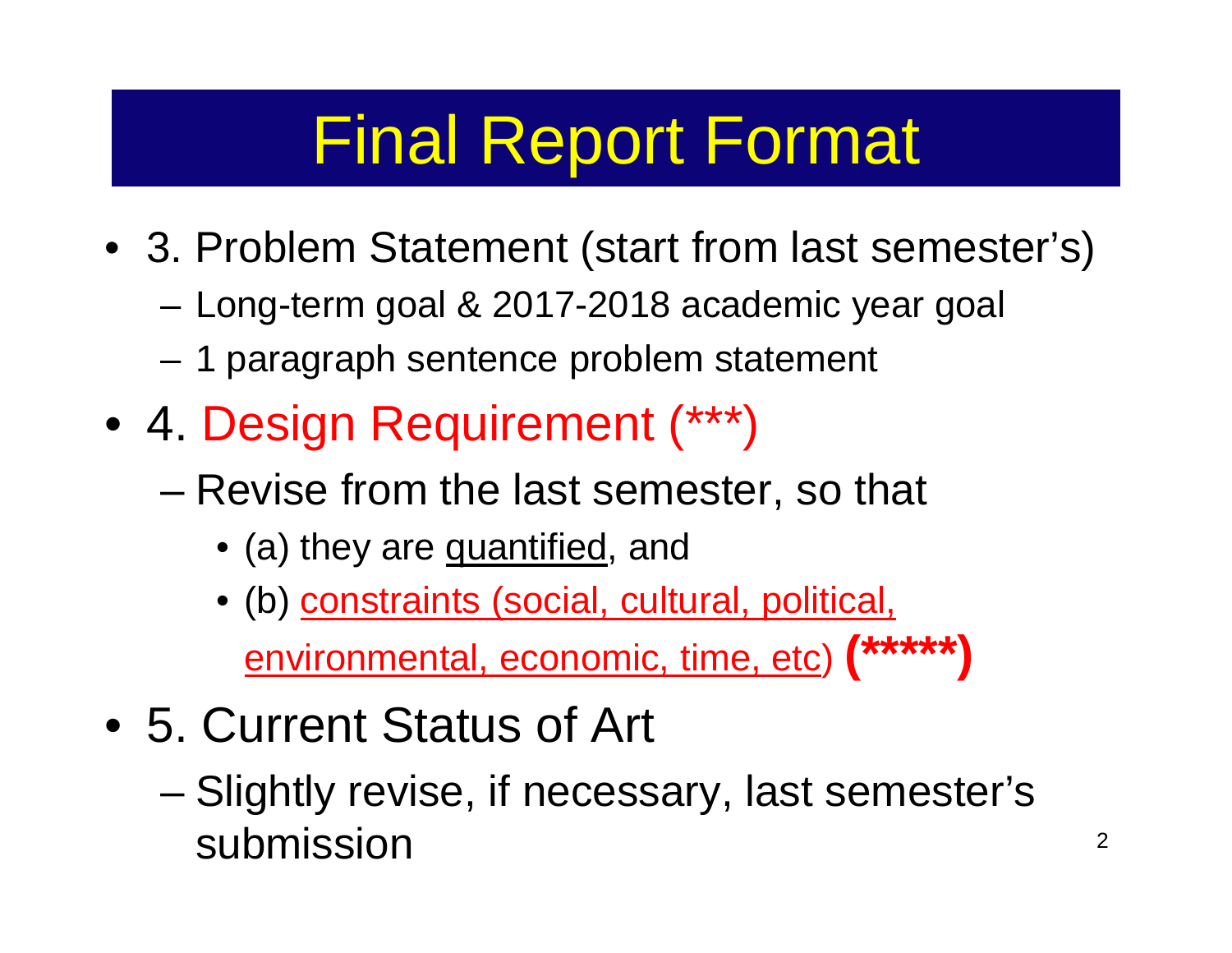- 3. Problem Statement (start from last semester's)
	- –Long-term goal & 2017-2018 academic year goal
	- –1 paragraph sentence problem statement
- 4. Design Requirement (\*\*\*)
	- – Revise from the last semester, so that
		- (a) they are <u>quantified,</u> and
		- (b) constraints (social, cultural, political, environmental, economic, time, etc) **(\*\*\*\*\*)**
- 5. Current Status of Art
	- – Slightly revise, if necessary, last semester's submission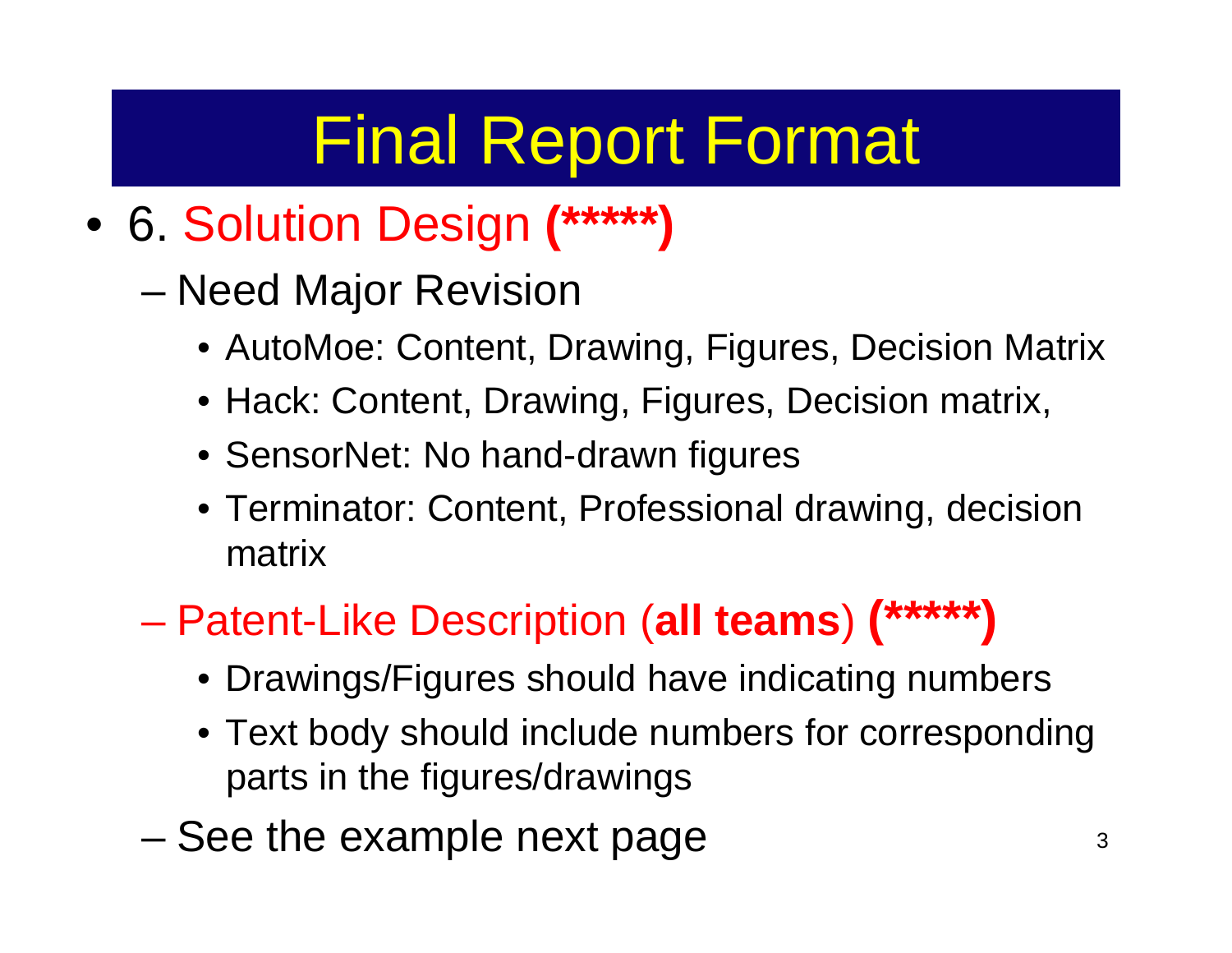- 6. Solution Design **(\*\*\*\*\*)**
	- Need Major Revision
		- AutoMoe: Content, Drawing, Figures, Decision Matrix
		- Hack: Content, Drawing, Figures, Decision matrix,
		- SensorNet: No hand-drawn figures
		- Terminator: Content, Professional drawing, decision matrix
	- Patent-Like Description (**all teams**) **(\*\*\*\*\*)**
		- Drawings/Figures should have indicating numbers
		- Text body should include numbers for corresponding parts in the figures/drawings
	- –See the example next page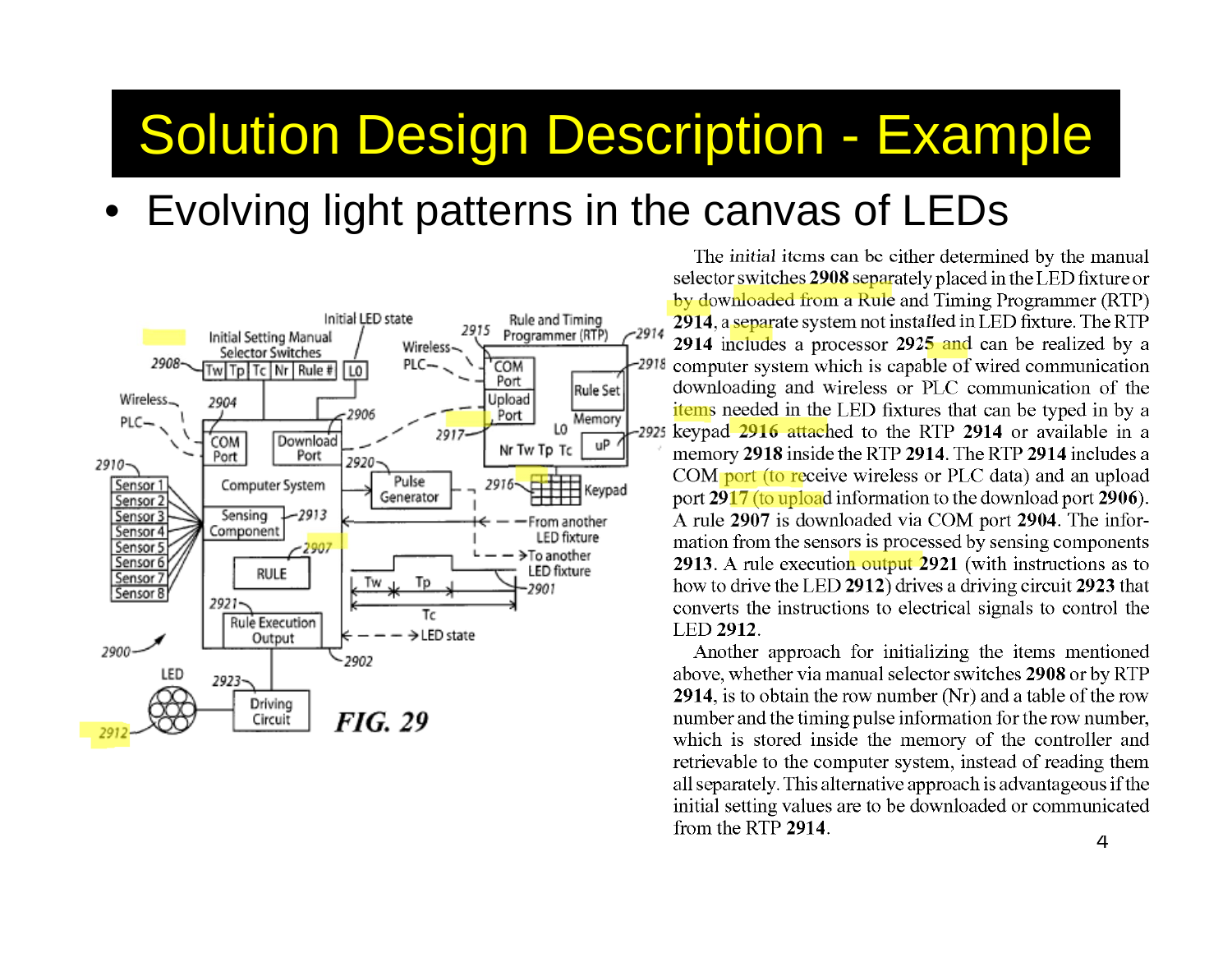#### Solution Design Description - Example

•Evolving light patterns in the canvas of LEDs



The initial items can be either determined by the manual selector switches 2908 separately placed in the LED fixture or by downloaded from a Rule and Timing Programmer (RTP) 2914, a separate system not installed in LED fixture. The RTP 2914 includes a processor 2925 and can be realized by a computer system which is capable of wired communication downloading and wireless or PLC communication of the **items** needed in the LED fixtures that can be typed in by a keypad 2916 attached to the RTP 2914 or available in a memory 2918 inside the RTP 2914. The RTP 2914 includes a COM port (to receive wireless or PLC data) and an upload port 2917 (to upload information to the download port 2906). A rule 2907 is downloaded via COM port 2904. The information from the sensors is processed by sensing components 2913. A rule execution output 2921 (with instructions as to how to drive the LED 2912) drives a driving circuit 2923 that converts the instructions to electrical signals to control the LED 2912.

Another approach for initializing the items mentioned above, whether via manual selector switches 2908 or by RTP 2914, is to obtain the row number (Nr) and a table of the row number and the timing pulse information for the row number, which is stored inside the memory of the controller and retrievable to the computer system, instead of reading them all separately. This alternative approach is advantageous if the initial setting values are to be downloaded or communicated from the RTP 2914.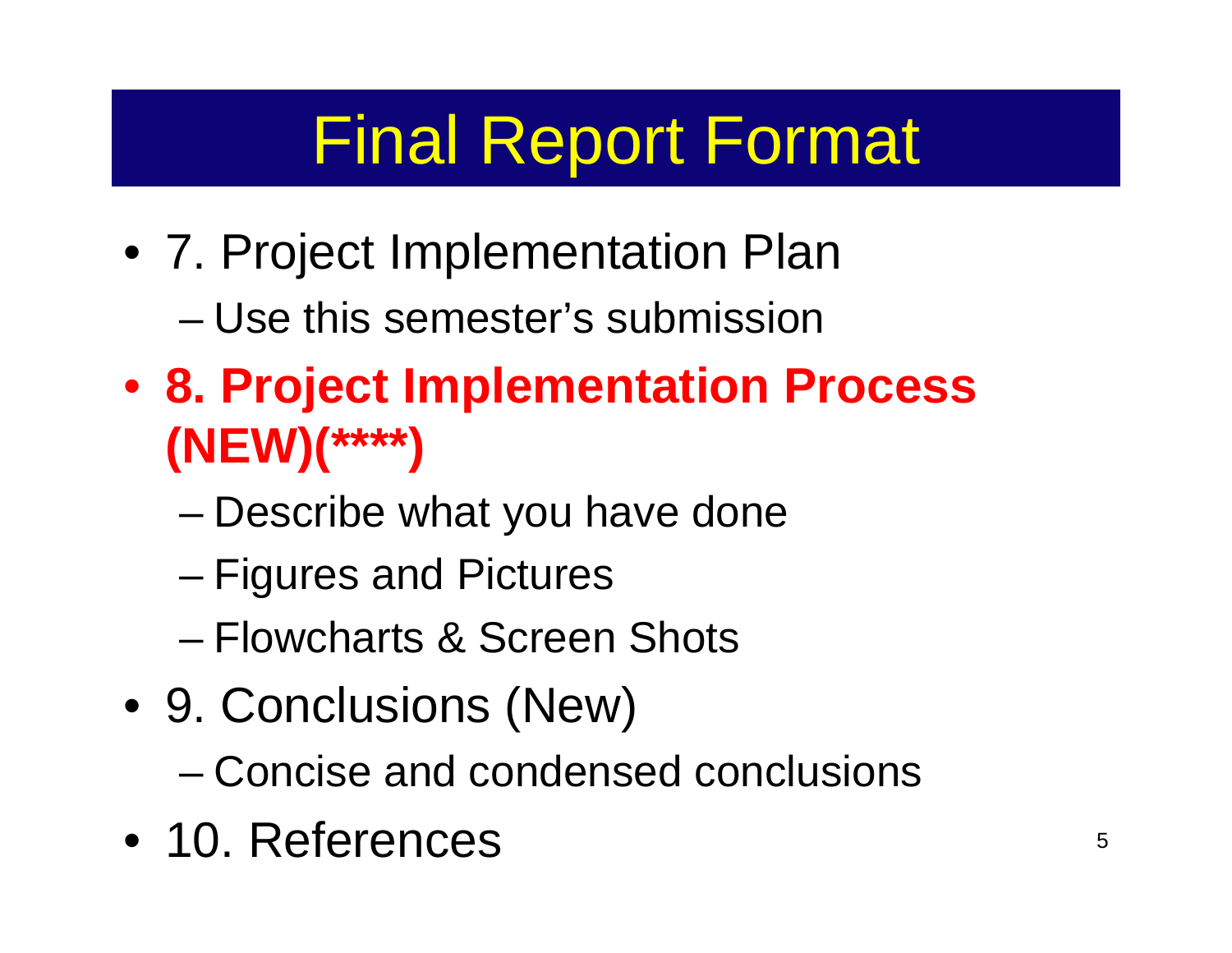- 7. Project Implementation Plan
	- Use this semester's submission
- **8. Project Implementation Process (NEW)(\*\*\*\*)**
	- –Describe what you have done
	- Figures and Pictures
	- Flowcharts & Screen Shots
- 9. Conclusions (New)
	- Concise and condensed conclusions
- 10. References